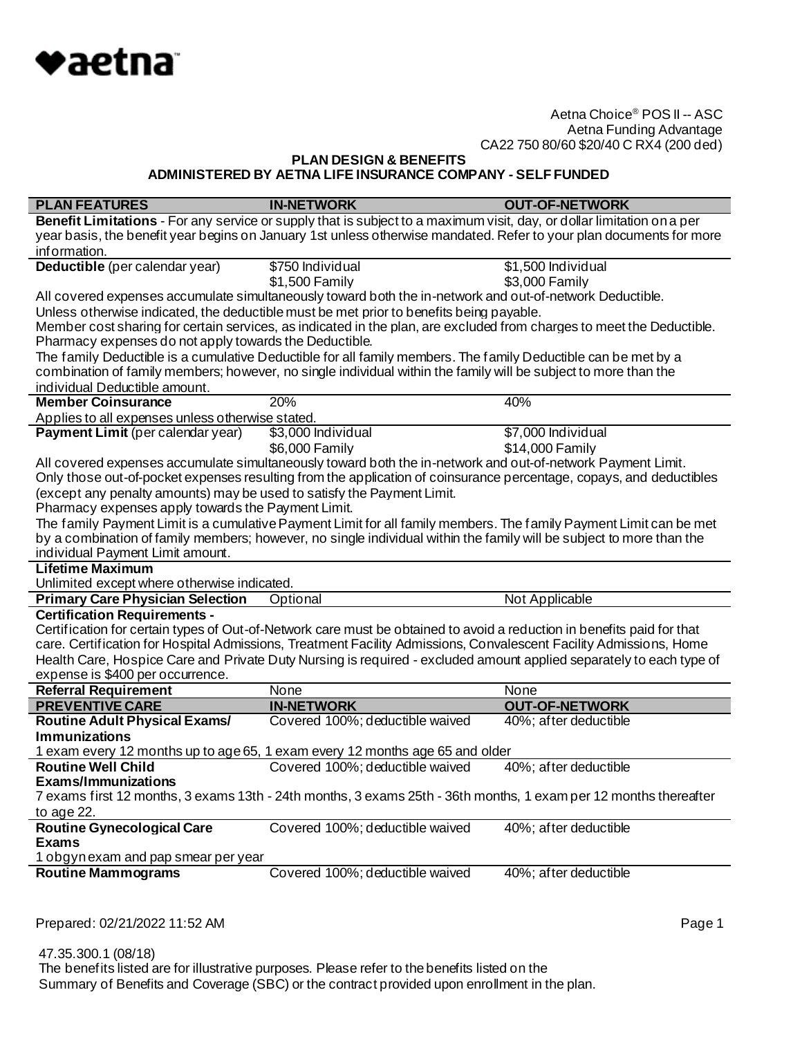

**PLAN DESIGN & BENEFITS**

**ADMINISTERED BY AETNA LIFE INSURANCE COMPANY - SELF FUNDED**

| <b>PLAN FEATURES</b>                                                   | <b>IN-NETWORK</b>                                                                                                      | <b>OUT-OF-NETWORK</b> |
|------------------------------------------------------------------------|------------------------------------------------------------------------------------------------------------------------|-----------------------|
|                                                                        | Benefit Limitations - For any service or supply that is subject to a maximum visit, day, or dollar limitation on a per |                       |
|                                                                        | year basis, the benefit year begins on January 1st unless otherwise mandated. Refer to your plan documents for more    |                       |
| information.                                                           |                                                                                                                        |                       |
| Deductible (per calendar year)                                         | \$750 Individual                                                                                                       | \$1,500 Individual    |
|                                                                        | \$1,500 Family                                                                                                         | \$3,000 Family        |
|                                                                        | All covered expenses accumulate simultaneously toward both the in-network and out-of-network Deductible.               |                       |
|                                                                        | Unless otherwise indicated, the deductible must be met prior to benefits being payable.                                |                       |
|                                                                        | Member cost sharing for certain services, as indicated in the plan, are excluded from charges to meet the Deductible.  |                       |
| Pharmacy expenses do not apply towards the Deductible.                 |                                                                                                                        |                       |
|                                                                        | The family Deductible is a cumulative Deductible for all family members. The family Deductible can be met by a         |                       |
|                                                                        | combination of family members; however, no single individual within the family will be subject to more than the        |                       |
| individual Deductible amount.                                          |                                                                                                                        |                       |
| <b>Member Coinsurance</b>                                              | 20%                                                                                                                    | 40%                   |
| Applies to all expenses unless otherwise stated.                       |                                                                                                                        |                       |
| Payment Limit (per calendar year)                                      | \$3,000 Individual                                                                                                     | \$7,000 Individual    |
|                                                                        | \$6,000 Family                                                                                                         | \$14,000 Family       |
|                                                                        | All covered expenses accumulate simultaneously toward both the in-network and out-of-network Payment Limit.            |                       |
|                                                                        | Only those out-of-pocket expenses resulting from the application of coinsurance percentage, copays, and deductibles    |                       |
| (except any penalty amounts) may be used to satisfy the Payment Limit. |                                                                                                                        |                       |
| Pharmacy expenses apply towards the Payment Limit.                     |                                                                                                                        |                       |
|                                                                        | The family Payment Limit is a cumulative Payment Limit for all family members. The family Payment Limit can be met     |                       |
|                                                                        | by a combination of family members; however, no single individual within the family will be subject to more than the   |                       |
| individual Payment Limit amount.                                       |                                                                                                                        |                       |
| <b>Lifetime Maximum</b>                                                |                                                                                                                        |                       |
| Unlimited except where otherwise indicated.                            |                                                                                                                        |                       |
| <b>Primary Care Physician Selection</b>                                | Optional                                                                                                               | Not Applicable        |
| <b>Certification Requirements -</b>                                    |                                                                                                                        |                       |
|                                                                        | Certification for certain types of Out-of-Network care must be obtained to avoid a reduction in benefits paid for that |                       |
|                                                                        | care. Certification for Hospital Admissions, Treatment Facility Admissions, Convalescent Facility Admissions, Home     |                       |
|                                                                        | Health Care, Hospice Care and Private Duty Nursing is required - excluded amount applied separately to each type of    |                       |
| expense is \$400 per occurrence.                                       |                                                                                                                        |                       |
| <b>Referral Requirement</b>                                            | None                                                                                                                   | None                  |
| <b>PREVENTIVE CARE</b>                                                 | <b>IN-NETWORK</b>                                                                                                      | <b>OUT-OF-NETWORK</b> |
| <b>Routine Adult Physical Exams/</b>                                   | Covered 100%; deductible waived                                                                                        | 40%; after deductible |
| <b>Immunizations</b>                                                   |                                                                                                                        |                       |
|                                                                        | 1 exam every 12 months up to age 65, 1 exam every 12 months age 65 and older                                           |                       |
| <b>Routine Well Child</b>                                              | Covered 100%; deductible waived                                                                                        | 40%; after deductible |
| <b>Fxams/Immunizations</b>                                             |                                                                                                                        |                       |
|                                                                        | 7 exams first 12 months, 3 exams 13th - 24th months, 3 exams 25th - 36th months, 1 exam per 12 months thereafter       |                       |
| to age 22.                                                             |                                                                                                                        |                       |
| <b>Routine Gynecological Care</b>                                      | Covered 100%; deductible waived                                                                                        | 40%; after deductible |
| <b>Exams</b>                                                           |                                                                                                                        |                       |
| 1 obgynexam and pap smear per year                                     |                                                                                                                        |                       |
| <b>Routine Mammograms</b>                                              | Covered 100%; deductible waived                                                                                        | 40%; after deductible |
|                                                                        |                                                                                                                        |                       |

Prepared: 02/21/2022 11:52 AM **Page 1** 

 47.35.300.1 (08/18) The benefits listed are for illustrative purposes. Please refer to the benefits listed on the Summary of Benefits and Coverage (SBC) or the contract provided upon enrollment in the plan.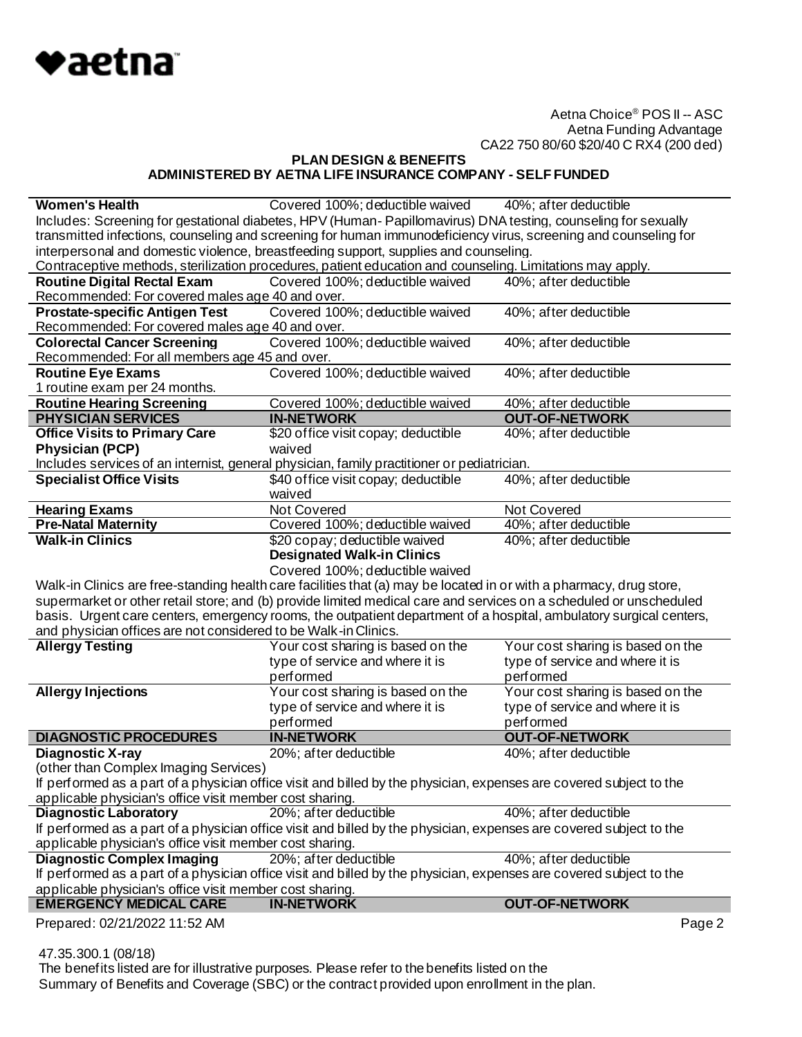

**PLAN DESIGN & BENEFITS ADMINISTERED BY AETNA LIFE INSURANCE COMPANY - SELF FUNDED**

|                                                                                                                 | Covered 100%; deductible waived                                                                                     | 40%; after deductible             |
|-----------------------------------------------------------------------------------------------------------------|---------------------------------------------------------------------------------------------------------------------|-----------------------------------|
|                                                                                                                 | Includes: Screening for gestational diabetes, HPV (Human-Papillomavirus) DNA testing, counseling for sexually       |                                   |
| transmitted infections, counseling and screening for human immunodeficiency virus, screening and counseling for |                                                                                                                     |                                   |
|                                                                                                                 | interpersonal and domestic violence, breastfeeding support, supplies and counseling.                                |                                   |
|                                                                                                                 | Contraceptive methods, sterilization procedures, patient education and counseling. Limitations may apply.           |                                   |
| <b>Routine Digital Rectal Exam</b>                                                                              | Covered 100%; deductible waived                                                                                     | 40%; after deductible             |
| Recommended: For covered males age 40 and over.                                                                 |                                                                                                                     |                                   |
| <b>Prostate-specific Antigen Test</b>                                                                           | Covered 100%; deductible waived                                                                                     | 40%; after deductible             |
| Recommended: For covered males age 40 and over.                                                                 |                                                                                                                     |                                   |
| <b>Colorectal Cancer Screening</b>                                                                              | Covered 100%; deductible waived                                                                                     | 40%; after deductible             |
| Recommended: For all members age 45 and over.                                                                   |                                                                                                                     |                                   |
| <b>Routine Eye Exams</b>                                                                                        | Covered 100%; deductible waived                                                                                     | 40%; after deductible             |
| 1 routine exam per 24 months.                                                                                   |                                                                                                                     |                                   |
| <b>Routine Hearing Screening</b>                                                                                | Covered 100%; deductible waived                                                                                     | 40%; after deductible             |
| <b>PHYSICIAN SERVICES</b>                                                                                       | <b>IN-NETWORK</b>                                                                                                   | <b>OUT-OF-NETWORK</b>             |
| <b>Office Visits to Primary Care</b>                                                                            | \$20 office visit copay; deductible                                                                                 | 40%; after deductible             |
| <b>Physician (PCP)</b>                                                                                          | waived                                                                                                              |                                   |
|                                                                                                                 | Includes services of an internist, general physician, family practitioner or pediatrician.                          |                                   |
| <b>Specialist Office Visits</b>                                                                                 | \$40 office visit copay; deductible                                                                                 | 40%; after deductible             |
|                                                                                                                 | waived                                                                                                              |                                   |
| <b>Hearing Exams</b>                                                                                            | <b>Not Covered</b>                                                                                                  | Not Covered                       |
| <b>Pre-Natal Maternity</b>                                                                                      | Covered 100%; deductible waived                                                                                     | 40%; after deductible             |
| <b>Walk-in Clinics</b>                                                                                          | \$20 copay; deductible waived                                                                                       | 40%; after deductible             |
|                                                                                                                 | <b>Designated Walk-in Clinics</b>                                                                                   |                                   |
|                                                                                                                 | Covered 100%; deductible waived                                                                                     |                                   |
|                                                                                                                 |                                                                                                                     |                                   |
|                                                                                                                 | Walk-in Clinics are free-standing health care facilities that (a) may be located in or with a pharmacy, drug store, |                                   |
|                                                                                                                 | supermarket or other retail store; and (b) provide limited medical care and services on a scheduled or unscheduled  |                                   |
|                                                                                                                 | basis. Urgent care centers, emergency rooms, the outpatient department of a hospital, ambulatory surgical centers,  |                                   |
| and physician offices are not considered to be Walk-in Clinics.                                                 |                                                                                                                     |                                   |
| <b>Allergy Testing</b>                                                                                          | Your cost sharing is based on the                                                                                   | Your cost sharing is based on the |
|                                                                                                                 | type of service and where it is                                                                                     | type of service and where it is   |
|                                                                                                                 | performed                                                                                                           | performed                         |
| <b>Allergy Injections</b>                                                                                       | Your cost sharing is based on the                                                                                   | Your cost sharing is based on the |
|                                                                                                                 | type of service and where it is                                                                                     | type of service and where it is   |
|                                                                                                                 | performed                                                                                                           | performed                         |
| <b>DIAGNOSTIC PROCEDURES</b>                                                                                    | <b>IN-NETWORK</b>                                                                                                   | <b>OUT-OF-NETWORK</b>             |
| Diagnostic X-ray                                                                                                | 20%; after deductible                                                                                               | 40%; after deductible             |
| (other than Complex Imaging Services)                                                                           |                                                                                                                     |                                   |
|                                                                                                                 | If performed as a part of a physician office visit and billed by the physician, expenses are covered subject to the |                                   |
| applicable physician's office visit member cost sharing.                                                        |                                                                                                                     |                                   |
| <b>Diagnostic Laboratory</b>                                                                                    | 20%; after deductible                                                                                               | 40%; after deductible             |
|                                                                                                                 | If performed as a part of a physician office visit and billed by the physician, expenses are covered subject to the |                                   |
| applicable physician's office visit member cost sharing.                                                        |                                                                                                                     |                                   |
| <b>Diagnostic Complex Imaging</b>                                                                               | 20%; after deductible                                                                                               | 40%; after deductible             |
|                                                                                                                 | If performed as a part of a physician office visit and billed by the physician, expenses are covered subject to the |                                   |
| applicable physician's office visit member cost sharing.                                                        |                                                                                                                     |                                   |
| <b>EMERGENCY MEDICAL CARE</b>                                                                                   | <b>IN-NETWORK</b>                                                                                                   | <b>OUT-OF-NETWORK</b>             |

47.35.300.1 (08/18)

 The benefits listed are for illustrative purposes. Please refer to the benefits listed on the Summary of Benefits and Coverage (SBC) or the contract provided upon enrollment in the plan.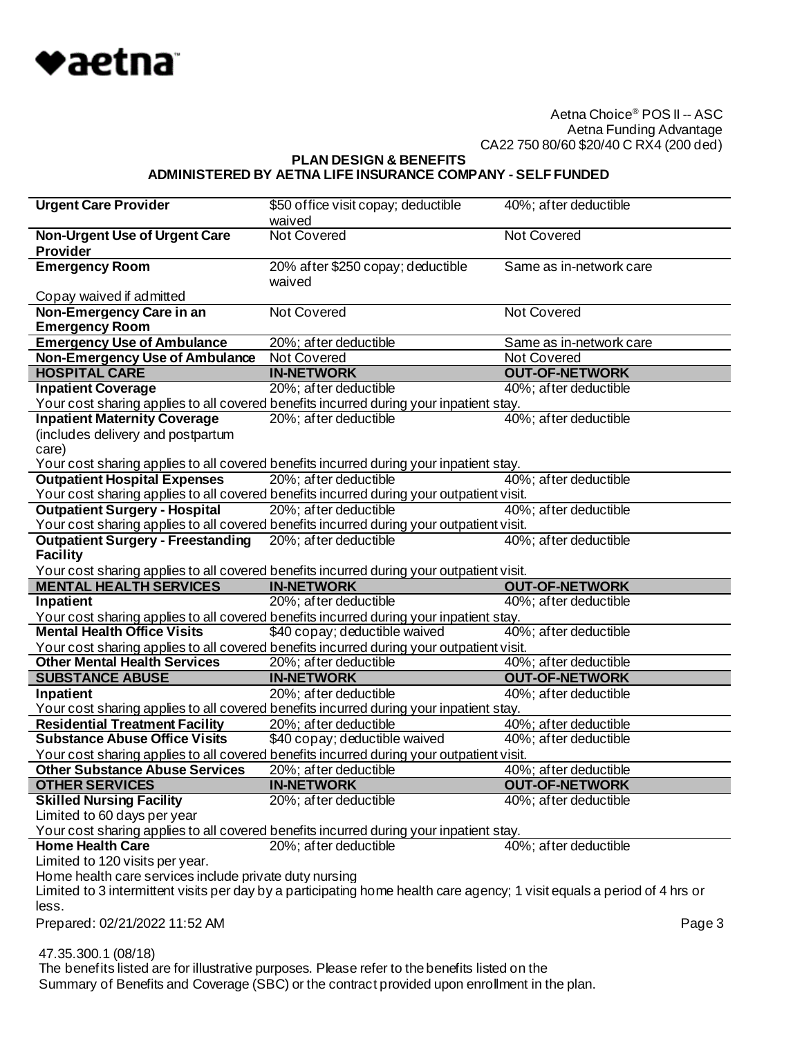

**PLAN DESIGN & BENEFITS**

## **ADMINISTERED BY AETNA LIFE INSURANCE COMPANY - SELF FUNDED**

| <b>Urgent Care Provider</b>                                                                                                   | \$50 office visit copay; deductible                                                    | 40%; after deductible                |
|-------------------------------------------------------------------------------------------------------------------------------|----------------------------------------------------------------------------------------|--------------------------------------|
|                                                                                                                               | waived                                                                                 |                                      |
| <b>Non-Urgent Use of Urgent Care</b>                                                                                          | <b>Not Covered</b>                                                                     | <b>Not Covered</b>                   |
| <b>Provider</b>                                                                                                               |                                                                                        |                                      |
| <b>Emergency Room</b>                                                                                                         | 20% after \$250 copay; deductible                                                      | Same as in-network care              |
|                                                                                                                               | waived                                                                                 |                                      |
| Copay waived if admitted                                                                                                      |                                                                                        |                                      |
| Non-Emergency Care in an                                                                                                      | Not Covered                                                                            | <b>Not Covered</b>                   |
| <b>Emergency Room</b>                                                                                                         |                                                                                        |                                      |
| <b>Emergency Use of Ambulance</b>                                                                                             | 20%; after deductible                                                                  | Same as in-network care              |
| <b>Non-Emergency Use of Ambulance</b><br><b>HOSPITAL CARE</b>                                                                 | Not Covered<br><b>IN-NETWORK</b>                                                       | Not Covered<br><b>OUT-OF-NETWORK</b> |
|                                                                                                                               |                                                                                        |                                      |
| <b>Inpatient Coverage</b>                                                                                                     | 20%; after deductible                                                                  | 40%; after deductible                |
|                                                                                                                               | Your cost sharing applies to all covered benefits incurred during your inpatient stay. |                                      |
| <b>Inpatient Maternity Coverage</b>                                                                                           | 20%; after deductible                                                                  | 40%; after deductible                |
| (includes delivery and postpartum                                                                                             |                                                                                        |                                      |
| care)                                                                                                                         |                                                                                        |                                      |
| Your cost sharing applies to all covered benefits incurred during your inpatient stay.<br><b>Outpatient Hospital Expenses</b> | 20%; after deductible                                                                  | 40%; after deductible                |
| Your cost sharing applies to all covered benefits incurred during your outpatient visit.                                      |                                                                                        |                                      |
| <b>Outpatient Surgery - Hospital</b>                                                                                          | 20%; after deductible                                                                  | 40%; after deductible                |
| Your cost sharing applies to all covered benefits incurred during your outpatient visit.                                      |                                                                                        |                                      |
| <b>Outpatient Surgery - Freestanding</b>                                                                                      | 20%; after deductible                                                                  | 40%; after deductible                |
| <b>Facility</b>                                                                                                               |                                                                                        |                                      |
| Your cost sharing applies to all covered benefits incurred during your outpatient visit.                                      |                                                                                        |                                      |
| <b>MENTAL HEALTH SERVICES</b>                                                                                                 | <b>IN-NETWORK</b>                                                                      | <b>OUT-OF-NETWORK</b>                |
|                                                                                                                               |                                                                                        |                                      |
|                                                                                                                               |                                                                                        |                                      |
| Inpatient                                                                                                                     | 20%; after deductible                                                                  | 40%; after deductible                |
| Your cost sharing applies to all covered benefits incurred during your inpatient stay.                                        |                                                                                        |                                      |
| <b>Mental Health Office Visits</b>                                                                                            | \$40 copay; deductible waived                                                          | 40%; after deductible                |
| Your cost sharing applies to all covered benefits incurred during your outpatient visit.                                      |                                                                                        |                                      |
| <b>Other Mental Health Services</b>                                                                                           | 20%; after deductible                                                                  | 40%; after deductible                |
| <b>SUBSTANCE ABUSE</b>                                                                                                        | <b>IN-NETWORK</b>                                                                      | <b>OUT-OF-NETWORK</b>                |
| Inpatient                                                                                                                     | 20%; after deductible                                                                  | 40%; after deductible                |
| Your cost sharing applies to all covered benefits incurred during your inpatient stay.                                        |                                                                                        |                                      |
| <b>Residential Treatment Facility</b><br><b>Substance Abuse Office Visits</b>                                                 | 20%; after deductible                                                                  | 40%; after deductible                |
|                                                                                                                               | \$40 copay; deductible waived                                                          | 40%; after deductible                |
| Your cost sharing applies to all covered benefits incurred during your outpatient visit.                                      |                                                                                        |                                      |
| <b>Other Substance Abuse Services</b>                                                                                         | 20%; after deductible<br><b>IN-NETWORK</b>                                             | 40%; after deductible                |
| <b>OTHER SERVICES</b>                                                                                                         |                                                                                        | <b>OUT-OF-NETWORK</b>                |
| <b>Skilled Nursing Facility</b><br>Limited to 60 days per year                                                                | 20%; after deductible                                                                  | 40%; after deductible                |
|                                                                                                                               |                                                                                        |                                      |
| Your cost sharing applies to all covered benefits incurred during your inpatient stay.<br><b>Home Health Care</b>             | 20%; after deductible                                                                  | 40%; after deductible                |
| Limited to 120 visits per year.                                                                                               |                                                                                        |                                      |
| Home health care services include private duty nursing                                                                        |                                                                                        |                                      |
| Limited to 3 intermittent visits per day by a participating home health care agency; 1 visit equals a period of 4 hrs or      |                                                                                        |                                      |
| less.                                                                                                                         |                                                                                        |                                      |
| Prepared: 02/21/2022 11:52 AM                                                                                                 |                                                                                        | Page 3                               |
|                                                                                                                               |                                                                                        |                                      |
| 47.35.300.1 (08/18)                                                                                                           |                                                                                        |                                      |

Summary of Benefits and Coverage (SBC) or the contract provided upon enrollment in the plan.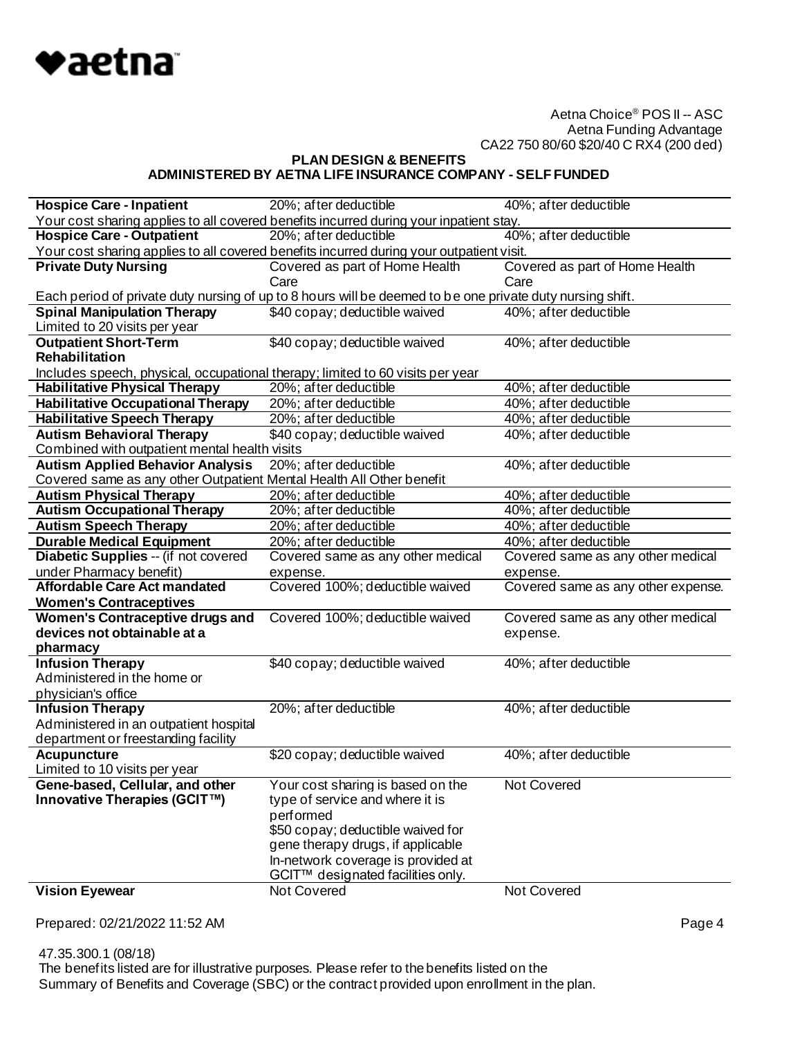

**PLAN DESIGN & BENEFITS**

# **ADMINISTERED BY AETNA LIFE INSURANCE COMPANY - SELF FUNDED**

| <b>Hospice Care - Inpatient</b>                                                                                                                                              | 20%; after deductible                                                                                     | 40%; after deductible              |
|------------------------------------------------------------------------------------------------------------------------------------------------------------------------------|-----------------------------------------------------------------------------------------------------------|------------------------------------|
|                                                                                                                                                                              |                                                                                                           |                                    |
| Your cost sharing applies to all covered benefits incurred during your inpatient stay.<br>40%; after deductible<br><b>Hospice Care - Outpatient</b><br>20%; after deductible |                                                                                                           |                                    |
|                                                                                                                                                                              | Your cost sharing applies to all covered benefits incurred during your outpatient visit.                  |                                    |
| <b>Private Duty Nursing</b>                                                                                                                                                  | Covered as part of Home Health                                                                            | Covered as part of Home Health     |
|                                                                                                                                                                              | Care                                                                                                      | Care                               |
|                                                                                                                                                                              | Each period of private duty nursing of up to 8 hours will be deemed to be one private duty nursing shift. |                                    |
| <b>Spinal Manipulation Therapy</b>                                                                                                                                           | \$40 copay; deductible waived                                                                             | 40%; after deductible              |
| Limited to 20 visits per year                                                                                                                                                |                                                                                                           |                                    |
| <b>Outpatient Short-Term</b>                                                                                                                                                 | \$40 copay; deductible waived                                                                             | 40%; after deductible              |
| Rehabilitation                                                                                                                                                               |                                                                                                           |                                    |
| Includes speech, physical, occupational therapy; limited to 60 visits per year                                                                                               |                                                                                                           |                                    |
| <b>Habilitative Physical Therapy</b>                                                                                                                                         | 20%; after deductible                                                                                     | 40%; after deductible              |
| <b>Habilitative Occupational Therapy</b>                                                                                                                                     | 20%; after deductible                                                                                     | 40%; after deductible              |
| <b>Habilitative Speech Therapy</b>                                                                                                                                           | 20%; after deductible                                                                                     | 40%; after deductible              |
| <b>Autism Behavioral Therapy</b>                                                                                                                                             | \$40 copay; deductible waived                                                                             | 40%; after deductible              |
| Combined with outpatient mental health visits                                                                                                                                |                                                                                                           |                                    |
| <b>Autism Applied Behavior Analysis</b>                                                                                                                                      | 20%; after deductible                                                                                     | 40%; after deductible              |
| Covered same as any other Outpatient Mental Health All Other benefit                                                                                                         |                                                                                                           |                                    |
| <b>Autism Physical Therapy</b>                                                                                                                                               | 20%; after deductible                                                                                     | 40%; after deductible              |
| <b>Autism Occupational Therapy</b>                                                                                                                                           | 20%; after deductible                                                                                     | 40%; after deductible              |
| <b>Autism Speech Therapy</b>                                                                                                                                                 | 20%; after deductible                                                                                     | 40%; after deductible              |
| <b>Durable Medical Equipment</b>                                                                                                                                             | 20%; after deductible                                                                                     | 40%; after deductible              |
| Diabetic Supplies -- (if not covered                                                                                                                                         | Covered same as any other medical                                                                         | Covered same as any other medical  |
| under Pharmacy benefit)                                                                                                                                                      | expense.                                                                                                  | expense.                           |
| <b>Affordable Care Act mandated</b>                                                                                                                                          | Covered 100%; deductible waived                                                                           | Covered same as any other expense. |
| <b>Women's Contraceptives</b>                                                                                                                                                |                                                                                                           |                                    |
| Women's Contraceptive drugs and                                                                                                                                              | Covered 100%; deductible waived                                                                           | Covered same as any other medical  |
| devices not obtainable at a                                                                                                                                                  |                                                                                                           | expense.                           |
| pharmacy                                                                                                                                                                     |                                                                                                           |                                    |
| <b>Infusion Therapy</b>                                                                                                                                                      | \$40 copay; deductible waived                                                                             | 40%; after deductible              |
| Administered in the home or                                                                                                                                                  |                                                                                                           |                                    |
| physician's office                                                                                                                                                           |                                                                                                           |                                    |
| <b>Infusion Therapy</b>                                                                                                                                                      | 20%; after deductible                                                                                     | 40%; after deductible              |
| Administered in an outpatient hospital                                                                                                                                       |                                                                                                           |                                    |
| department or freestanding facility                                                                                                                                          |                                                                                                           |                                    |
| <b>Acupuncture</b>                                                                                                                                                           | \$20 copay; deductible waived                                                                             | 40%; after deductible              |
| Limited to 10 visits per year                                                                                                                                                |                                                                                                           |                                    |
| Gene-based, Cellular, and other                                                                                                                                              | Your cost sharing is based on the                                                                         | Not Covered                        |
| Innovative Therapies (GCIT™)                                                                                                                                                 | type of service and where it is                                                                           |                                    |
|                                                                                                                                                                              | performed                                                                                                 |                                    |
|                                                                                                                                                                              | \$50 copay; deductible waived for                                                                         |                                    |
|                                                                                                                                                                              | gene therapy drugs, if applicable                                                                         |                                    |
|                                                                                                                                                                              | In-network coverage is provided at                                                                        |                                    |
|                                                                                                                                                                              | GCIT™ designated facilities only.                                                                         |                                    |
| <b>Vision Eyewear</b>                                                                                                                                                        | Not Covered                                                                                               | Not Covered                        |

Prepared: 02/21/2022 11:52 AM **Page 4** 

 47.35.300.1 (08/18) The benefits listed are for illustrative purposes. Please refer to the benefits listed on the Summary of Benefits and Coverage (SBC) or the contract provided upon enrollment in the plan.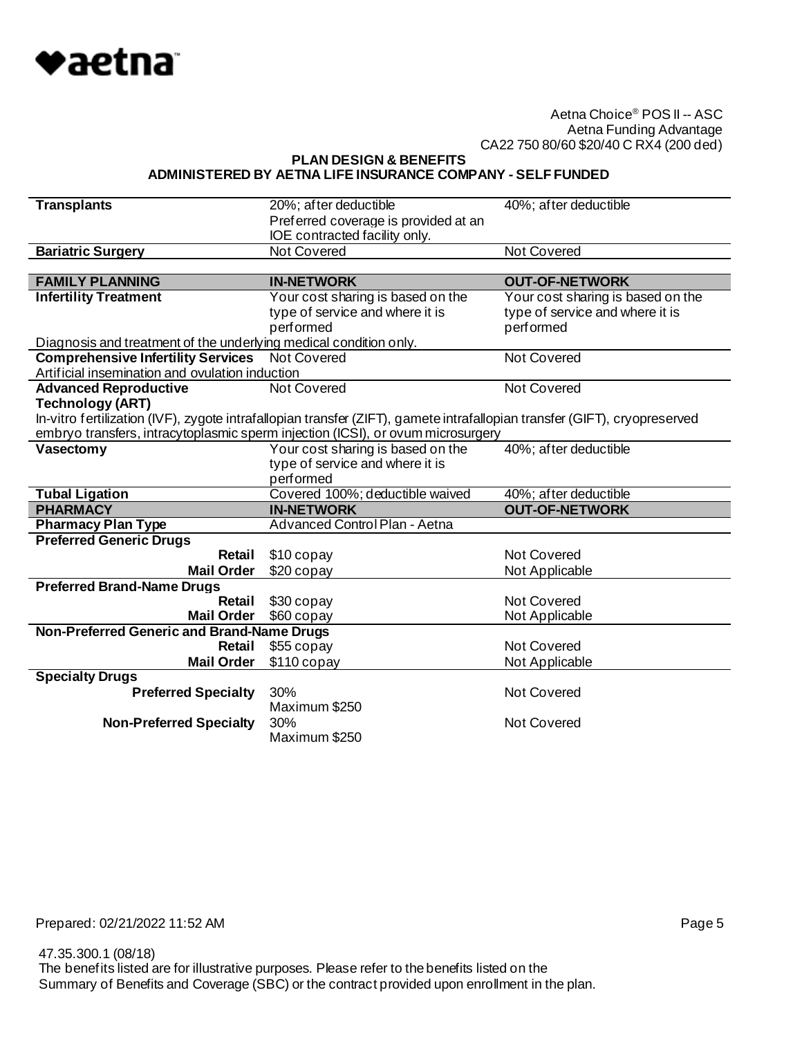

**PLAN DESIGN & BENEFITS**

#### **ADMINISTERED BY AETNA LIFE INSURANCE COMPANY - SELF FUNDED**

| <b>Transplants</b>                                                                                                                                                                                           | 20%; after deductible                                                 | 40%; after deductible             |
|--------------------------------------------------------------------------------------------------------------------------------------------------------------------------------------------------------------|-----------------------------------------------------------------------|-----------------------------------|
|                                                                                                                                                                                                              | Preferred coverage is provided at an<br>IOE contracted facility only. |                                   |
| <b>Bariatric Surgery</b>                                                                                                                                                                                     | <b>Not Covered</b>                                                    | <b>Not Covered</b>                |
|                                                                                                                                                                                                              |                                                                       |                                   |
| <b>FAMILY PLANNING</b>                                                                                                                                                                                       | <b>IN-NETWORK</b>                                                     | <b>OUT-OF-NETWORK</b>             |
| <b>Infertility Treatment</b>                                                                                                                                                                                 | Your cost sharing is based on the                                     | Your cost sharing is based on the |
|                                                                                                                                                                                                              | type of service and where it is                                       | type of service and where it is   |
|                                                                                                                                                                                                              | performed                                                             | performed                         |
| Diagnosis and treatment of the underlying medical condition only.                                                                                                                                            |                                                                       |                                   |
| <b>Comprehensive Infertility Services</b>                                                                                                                                                                    | <b>Not Covered</b>                                                    | <b>Not Covered</b>                |
| Artificial insemination and ovulation induction                                                                                                                                                              |                                                                       |                                   |
| <b>Advanced Reproductive</b>                                                                                                                                                                                 | Not Covered                                                           | <b>Not Covered</b>                |
| <b>Technology (ART)</b>                                                                                                                                                                                      |                                                                       |                                   |
| In-vitro fertilization (IVF), zygote intrafallopian transfer (ZIFT), gamete intrafallopian transfer (GIFT), cryopreserved<br>embryo transfers, intracytoplasmic sperm injection (ICSI), or ovum microsurgery |                                                                       |                                   |
|                                                                                                                                                                                                              |                                                                       |                                   |
| Vasectomy                                                                                                                                                                                                    | Your cost sharing is based on the                                     | 40%; after deductible             |
|                                                                                                                                                                                                              | type of service and where it is<br>performed                          |                                   |
| <b>Tubal Ligation</b>                                                                                                                                                                                        | Covered 100%; deductible waived                                       | 40%; after deductible             |
| <b>PHARMACY</b>                                                                                                                                                                                              | <b>IN-NETWORK</b>                                                     | <b>OUT-OF-NETWORK</b>             |
|                                                                                                                                                                                                              |                                                                       |                                   |
|                                                                                                                                                                                                              |                                                                       |                                   |
| <b>Pharmacy Plan Type</b>                                                                                                                                                                                    | Advanced Control Plan - Aetna                                         |                                   |
| <b>Preferred Generic Drugs</b><br>Retail                                                                                                                                                                     |                                                                       | Not Covered                       |
| <b>Mail Order</b>                                                                                                                                                                                            | \$10 copay<br>$$20$ copay                                             | Not Applicable                    |
| <b>Preferred Brand-Name Drugs</b>                                                                                                                                                                            |                                                                       |                                   |
| Retail                                                                                                                                                                                                       | \$30 copay                                                            | Not Covered                       |
| <b>Mail Order</b>                                                                                                                                                                                            | \$60 copay                                                            | Not Applicable                    |
| Non-Preferred Generic and Brand-Name Drugs                                                                                                                                                                   |                                                                       |                                   |
| Retail                                                                                                                                                                                                       | \$55 copay                                                            | <b>Not Covered</b>                |
| <b>Mail Order</b>                                                                                                                                                                                            | $$110$ copay                                                          | Not Applicable                    |
| <b>Specialty Drugs</b>                                                                                                                                                                                       |                                                                       |                                   |
| <b>Preferred Specialty</b>                                                                                                                                                                                   | 30%                                                                   | Not Covered                       |
|                                                                                                                                                                                                              | Maximum \$250                                                         |                                   |
| <b>Non-Preferred Specialty</b>                                                                                                                                                                               | 30%<br>Maximum \$250                                                  | Not Covered                       |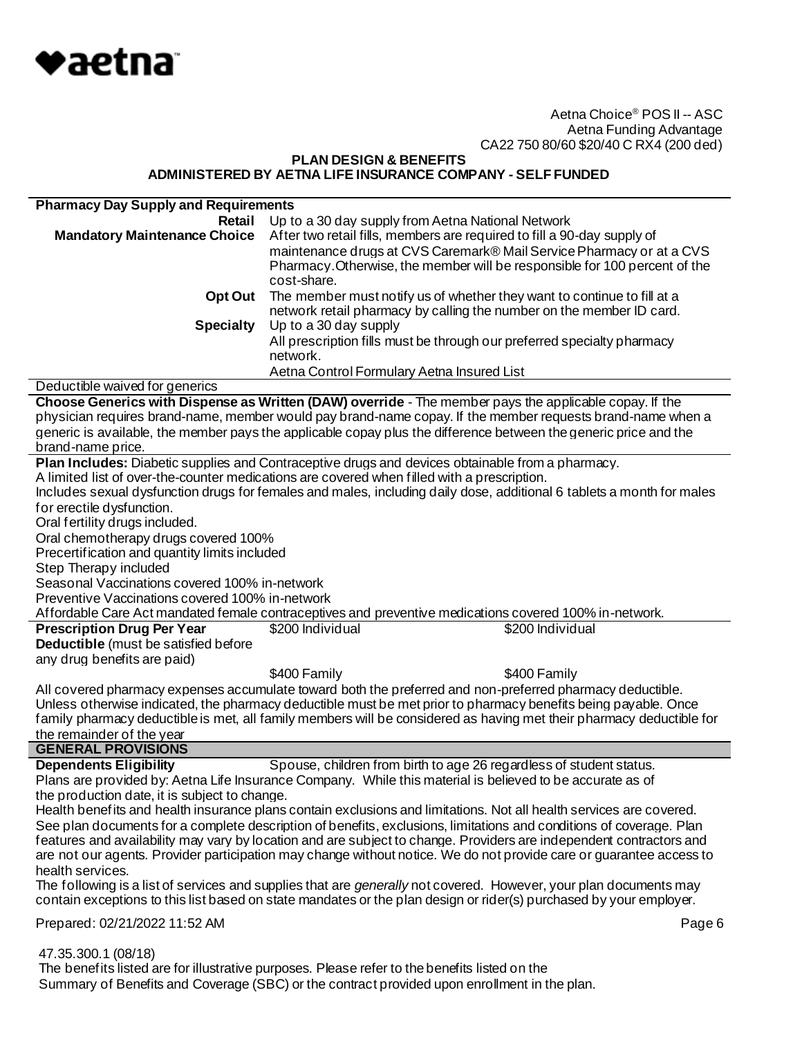

#### **PLAN DESIGN & BENEFITS ADMINISTERED BY AETNA LIFE INSURANCE COMPANY - SELF FUNDED**

| <b>Pharmacy Day Supply and Requirements</b>     |                                                                                                                          |
|-------------------------------------------------|--------------------------------------------------------------------------------------------------------------------------|
| Retail                                          | Up to a 30 day supply from Aetna National Network                                                                        |
| <b>Mandatory Maintenance Choice</b>             | After two retail fills, members are required to fill a 90-day supply of                                                  |
|                                                 | maintenance drugs at CVS Caremark® Mail Service Pharmacy or at a CVS                                                     |
|                                                 | Pharmacy. Otherwise, the member will be responsible for 100 percent of the                                               |
|                                                 | cost-share.                                                                                                              |
|                                                 |                                                                                                                          |
| <b>Opt Out</b>                                  | The member must notify us of whether they want to continue to fill at a                                                  |
|                                                 | network retail pharmacy by calling the number on the member ID card.                                                     |
| <b>Specialty</b>                                | Up to a 30 day supply                                                                                                    |
|                                                 | All prescription fills must be through our preferred specialty pharmacy                                                  |
|                                                 | network.                                                                                                                 |
|                                                 | Aetna Control Formulary Aetna Insured List                                                                               |
| Deductible waived for generics                  |                                                                                                                          |
|                                                 | Choose Generics with Dispense as Written (DAW) override - The member pays the applicable copay. If the                   |
|                                                 | physician requires brand-name, member would pay brand-name copay. If the member requests brand-name when a               |
|                                                 | generic is available, the member pays the applicable copay plus the difference between the generic price and the         |
| brand-name price.                               |                                                                                                                          |
|                                                 | Plan Includes: Diabetic supplies and Contraceptive drugs and devices obtainable from a pharmacy.                         |
|                                                 | A limited list of over-the-counter medications are covered when filled with a prescription.                              |
|                                                 | Includes sexual dysfunction drugs for females and males, including daily dose, additional 6 tablets a month for males    |
| for erectile dysfunction.                       |                                                                                                                          |
| Oral fertility drugs included.                  |                                                                                                                          |
| Oral chemotherapy drugs covered 100%            |                                                                                                                          |
| Precertification and quantity limits included   |                                                                                                                          |
| Step Therapy included                           |                                                                                                                          |
| Seasonal Vaccinations covered 100% in-network   |                                                                                                                          |
|                                                 |                                                                                                                          |
| Preventive Vaccinations covered 100% in-network |                                                                                                                          |
|                                                 | Affordable Care Act mandated female contraceptives and preventive medications covered 100% in-network.                   |
| <b>Prescription Drug Per Year</b>               | \$200 Individual<br>\$200 Individual                                                                                     |
| Deductible (must be satisfied before            |                                                                                                                          |
| any drug benefits are paid)                     |                                                                                                                          |
|                                                 | \$400 Family<br>\$400 Family                                                                                             |
|                                                 | All covered pharmacy expenses accumulate toward both the preferred and non-preferred pharmacy deductible.                |
|                                                 | Unless otherwise indicated, the pharmacy deductible must be met prior to pharmacy benefits being payable. Once           |
|                                                 | family pharmacy deductible is met, all family members will be considered as having met their pharmacy deductible for     |
| the remainder of the year                       |                                                                                                                          |
| <b>GENERAL PROVISIONS</b>                       |                                                                                                                          |
| <b>Dependents Eligibility</b>                   | Spouse, children from birth to age 26 regardless of student status.                                                      |
|                                                 | Plans are provided by: Aetna Life Insurance Company. While this material is believed to be accurate as of                |
| the production date, it is subject to change.   |                                                                                                                          |
|                                                 | Health benefits and health insurance plans contain exclusions and limitations. Not all health services are covered.      |
|                                                 | See plan documents for a complete description of benefits, exclusions, limitations and conditions of coverage. Plan      |
|                                                 | features and availability may vary by location and are subject to change. Providers are independent contractors and      |
|                                                 | are not our agents. Provider participation may change without notice. We do not provide care or guarantee access to      |
| health services.                                |                                                                                                                          |
|                                                 | The following is a list of services and supplies that are <i>generally</i> not covered. However, your plan documents may |
|                                                 | contain exceptions to this list based on state mandates or the plan design or rider(s) purchased by your employer.       |
|                                                 |                                                                                                                          |
| Prepared: 02/21/2022 11:52 AM                   | Page 6                                                                                                                   |
| 47.35.300.1 (08/18)                             |                                                                                                                          |

 The benefits listed are for illustrative purposes. Please refer to the benefits listed on the Summary of Benefits and Coverage (SBC) or the contract provided upon enrollment in the plan.